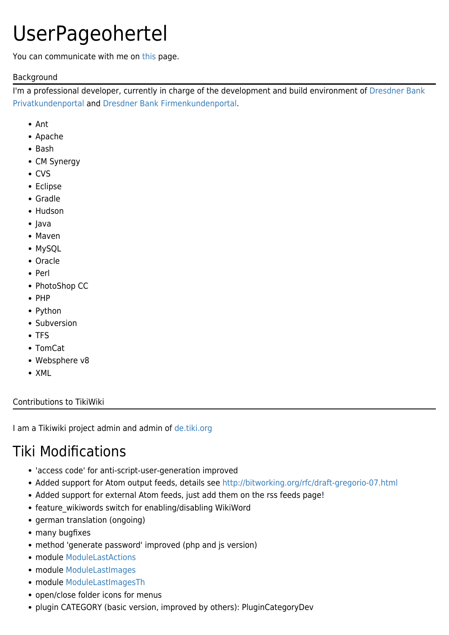# UserPageohertel

You can communicate with me on [this](https://tiki.org/ohertel) page.

#### Background

I'm a professional developer, currently in charge of the development and build environment of [Dresdner Bank](http://www.dresdner-privat.de/) [Privatkundenportal](http://www.dresdner-privat.de/) and [Dresdner Bank Firmenkundenportal.](http://www.firmenfinanzportal.de/)

- Ant
- Apache
- Bash
- CM Synergy
- CVS
- Eclipse
- Gradle
- Hudson
- Java
- Maven
- MySQL
- Oracle
- $\bullet$  Perl
- PhotoShop CC
- $\bullet$  PHP
- Python
- Subversion
- TFS
- TomCat
- Websphere v8
- XML

#### Contributions to TikiWiki

I am a Tikiwiki project admin and admin of [de.tiki.org](http://de.tiki.org)

## Tiki Modifications

- 'access code' for anti-script-user-generation improved
- Added support for Atom output feeds, details see<http://bitworking.org/rfc/draft-gregorio-07.html>
- Added support for external Atom feeds, just add them on the rss feeds page!
- feature wikiwords switch for enabling/disabling WikiWord
- german translation (ongoing)
- many bugfixes
- method 'generate password' improved (php and js version)
- module [ModuleLastActions](https://tiki.org/ModuleLastActions)
- module [ModuleLastImages](https://tiki.org/ModuleLastImages)
- module [ModuleLastImagesTh](https://tiki.org/ModuleLastImagesTh)
- open/close folder icons for menus
- plugin CATEGORY (basic version, improved by others): PluginCategoryDev